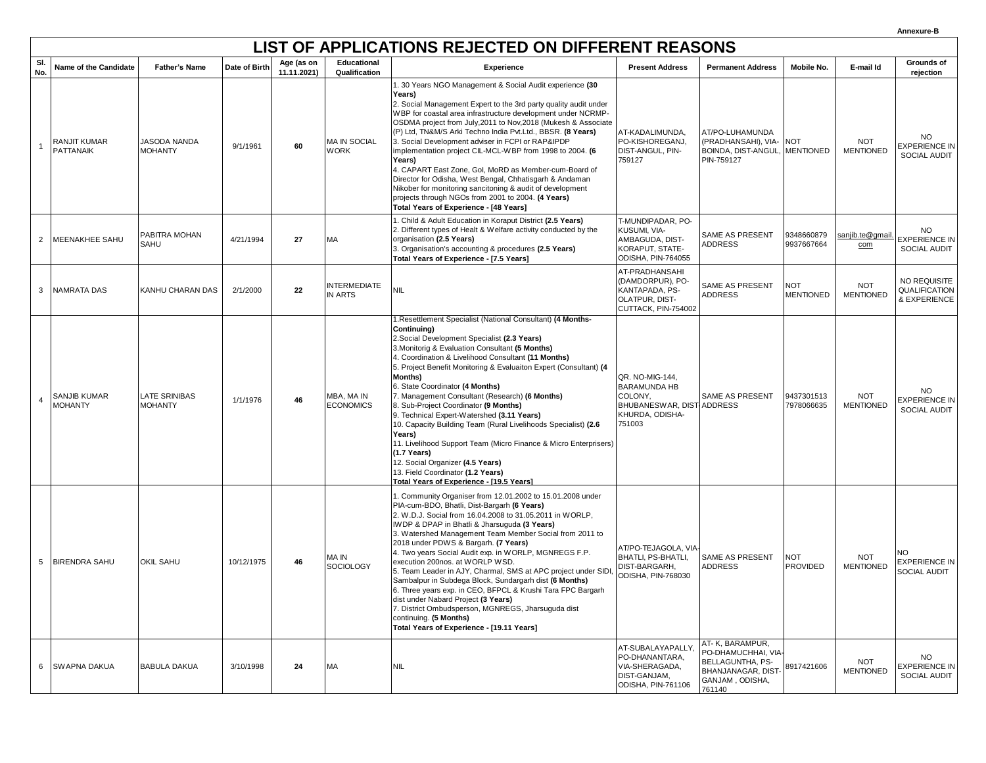## **LIST OF APPLICATIONS REJECTED ON DIFFERENT REASONS**

| SI.<br>No.     | Name of the Candidate            | <b>Father's Name</b>            | Date of Birth | Age (as on<br>11.11.2021) | Educational<br>Qualification          | Experience                                                                                                                                                                                                                                                                                                                                                                                                                                                                                                                                                                                                                                                                                                                                                                                   | <b>Present Address</b>                                                                                      | <b>Permanent Address</b>                                                                                      | Mobile No.                     | E-mail Id                      | Grounds of<br>rejection                           |
|----------------|----------------------------------|---------------------------------|---------------|---------------------------|---------------------------------------|----------------------------------------------------------------------------------------------------------------------------------------------------------------------------------------------------------------------------------------------------------------------------------------------------------------------------------------------------------------------------------------------------------------------------------------------------------------------------------------------------------------------------------------------------------------------------------------------------------------------------------------------------------------------------------------------------------------------------------------------------------------------------------------------|-------------------------------------------------------------------------------------------------------------|---------------------------------------------------------------------------------------------------------------|--------------------------------|--------------------------------|---------------------------------------------------|
| $\overline{1}$ | RANJIT KUMAR<br><b>PATTANAIK</b> | JASODA NANDA<br><b>MOHANTY</b>  | 9/1/1961      | 60                        | <b>MA IN SOCIAL</b><br><b>WORK</b>    | . 30 Years NGO Management & Social Audit experience (30<br>Years)<br>2. Social Management Expert to the 3rd party quality audit under<br>WBP for coastal area infrastructure development under NCRMP-<br>OSDMA project from July, 2011 to Nov, 2018 (Mukesh & Associate<br>(P) Ltd, TN&M/S Arki Techno India Pvt.Ltd., BBSR. (8 Years)<br>3. Social Development adviser in FCPI or RAP&IPDP<br>implementation project CIL-MCL-WBP from 1998 to 2004. (6<br>Years)<br>4. CAPART East Zone, Gol, MoRD as Member-cum-Board of<br>Director for Odisha, West Bengal, Chhatisgarh & Andaman<br>Nikober for monitoring sancitoning & audit of development<br>projects through NGOs from 2001 to 2004. (4 Years)<br>Total Years of Experience - [48 Years]                                           | AT-KADALIMUNDA,<br>PO-KISHOREGANJ.<br>DIST-ANGUL, PIN-<br>759127                                            | AT/PO-LUHAMUNDA<br>(PRADHANSAHI), VIA- NOT<br>BOINDA, DIST-ANGUL,<br>PIN-759127                               | <b>MENTIONED</b>               | <b>NOT</b><br><b>MENTIONED</b> | <b>NO</b><br>EXPERIENCE IN<br>SOCIAL AUDIT        |
| 2              | <b>MEENAKHEE SAHU</b>            | PABITRA MOHAN<br>SAHU           | 4/21/1994     | 27                        | MA                                    | I. Child & Adult Education in Koraput District (2.5 Years)<br>2. Different types of Healt & Welfare activity conducted by the<br>organisation (2.5 Years)<br>3. Organisation's accounting & procedures (2.5 Years)<br>Total Years of Experience - [7.5 Years]                                                                                                                                                                                                                                                                                                                                                                                                                                                                                                                                | T-MUNDIPADAR, PO-<br>KUSUMI, VIA-<br>AMBAGUDA, DIST-<br>KORAPUT, STATE-<br>ODISHA, PIN-764055               | <b>SAME AS PRESENT</b><br><b>ADDRESS</b>                                                                      | 9348660879<br>9937667664       | sanjib.te@qmail.<br>com        | <b>NO</b><br><b>EXPERIENCE IN</b><br>SOCIAL AUDIT |
| 3              | <b>NAMRATA DAS</b>               | KANHU CHARAN DAS                | 2/1/2000      | 22                        | <b>INTERMEDIATE</b><br><b>IN ARTS</b> | <b>NIL</b>                                                                                                                                                                                                                                                                                                                                                                                                                                                                                                                                                                                                                                                                                                                                                                                   | AT-PRADHANSAHI<br>(DAMDORPUR), PO-<br>KANTAPADA, PS-<br><b>OLATPUR, DIST-</b><br>CUTTACK, PIN-754002        | <b>SAME AS PRESENT</b><br><b>ADDRESS</b>                                                                      | <b>NOT</b><br><b>MENTIONED</b> | <b>NOT</b><br><b>MENTIONED</b> | NO REQUISITE<br>QUALIFICATION<br>& EXPERIENCE     |
| $\overline{4}$ | SANJIB KUMAR<br><b>MOHANTY</b>   | LATE SRINIBAS<br><b>MOHANTY</b> | 1/1/1976      | 46                        | MBA, MA IN<br><b>ECONOMICS</b>        | I.Resettlement Specialist (National Consultant) (4 Months-<br>Continuing)<br>2. Social Development Specialist (2.3 Years)<br>3. Monitorig & Evaluation Consultant (5 Months)<br>4. Coordination & Livelihood Consultant (11 Months)<br>5. Project Benefit Monitoring & Evaluaiton Expert (Consultant) (4<br><b>Months)</b><br>6. State Coordinator (4 Months)<br>7. Management Consultant (Research) (6 Months)<br>8. Sub-Project Coordinator (9 Months)<br>9. Technical Expert-Watershed (3.11 Years)<br>10. Capacity Building Team (Rural Livelihoods Specialist) (2.6<br>Years)<br>11. Livelihood Support Team (Micro Finance & Micro Enterprisers)<br>$(1.7$ Years)<br>12. Social Organizer (4.5 Years)<br>13. Field Coordinator (1.2 Years)<br>Total Years of Experience - [19.5 Years] | QR. NO-MIG-144,<br><b>BARAMUNDA HB</b><br>COLONY,<br>BHUBANESWAR, DIST ADDRESS<br>KHURDA, ODISHA-<br>751003 | <b>SAME AS PRESENT</b>                                                                                        | 9437301513<br>7978066635       | <b>NOT</b><br><b>MENTIONED</b> | NO.<br><b>EXPERIENCE IN</b><br>SOCIAL AUDIT       |
| 5              | <b>BIRENDRA SAHU</b>             | <b>OKIL SAHU</b>                | 10/12/1975    | 46                        | MA IN<br><b>SOCIOLOGY</b>             | 1. Community Organiser from 12.01.2002 to 15.01.2008 under<br>PIA-cum-BDO, Bhatli, Dist-Bargarh (6 Years)<br>2. W.D.J. Social from 16.04.2008 to 31.05.2011 in WORLP,<br>IWDP & DPAP in Bhatli & Jharsuguda (3 Years)<br>3. Watershed Management Team Member Social from 2011 to<br>2018 under PDWS & Bargarh. (7 Years)<br>4. Two years Social Audit exp. in WORLP, MGNREGS F.P.<br>execution 200nos. at WORLP WSD.<br>5. Team Leader in AJY, Charmal, SMS at APC project under SIDI,<br>Sambalpur in Subdega Block, Sundargarh dist (6 Months)<br>6. Three years exp. in CEO, BFPCL & Krushi Tara FPC Bargarh<br>dist under Nabard Project (3 Years)<br>7. District Ombudsperson, MGNREGS, Jharsuguda dist<br>continuing. (5 Months)<br>Total Years of Experience - [19.11 Years]          | AT/PO-TEJAGOLA, VIA-<br>BHATLI, PS-BHATLI,<br>DIST-BARGARH,<br>ODISHA, PIN-768030                           | <b>SAME AS PRESENT</b><br><b>ADDRESS</b>                                                                      | <b>NOT</b><br><b>PROVIDED</b>  | <b>NOT</b><br><b>MENTIONED</b> | NΩ<br><b>EXPERIENCE IN</b><br>SOCIAL AUDIT        |
|                | 6 SWAPNA DAKUA                   | <b>BABULA DAKUA</b>             | 3/10/1998     | 24                        | MA                                    | <b>NIL</b>                                                                                                                                                                                                                                                                                                                                                                                                                                                                                                                                                                                                                                                                                                                                                                                   | AT-SUBALAYAPALLY,<br>PO-DHANANTARA,<br>VIA-SHERAGADA,<br>DIST-GANJAM,<br>ODISHA, PIN-761106                 | AT- K, BARAMPUR,<br>PO-DHAMUCHHAI, VIA<br>BELLAGUNTHA, PS-<br>BHANJANAGAR, DIST-<br>GANJAM, ODISHA,<br>761140 | 8917421606                     | <b>NOT</b><br><b>MENTIONED</b> | <b>NO</b><br><b>EXPERIENCE IN</b><br>SOCIAL AUDIT |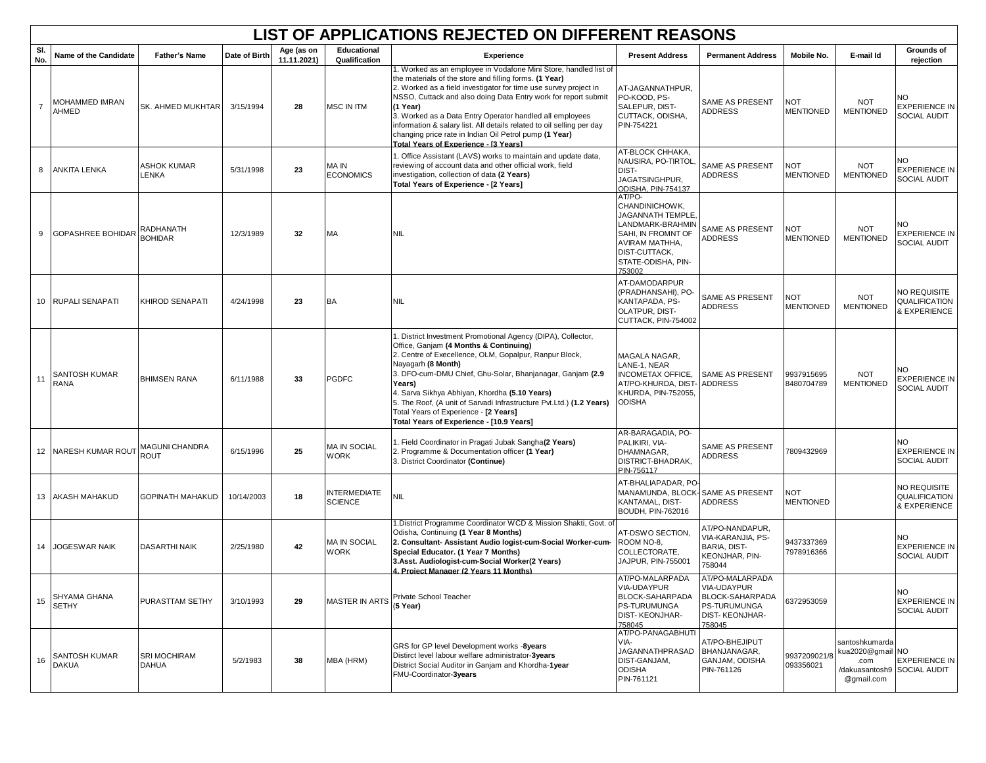|                | LIST OF APPLICATIONS REJECTED ON DIFFERENT REASONS |                                     |               |                           |                                       |                                                                                                                                                                                                                                                                                                                                                                                                                                                                                                                      |                                                                                                                                                                  |                                                                                                             |                                |                                                                           |                                                    |  |
|----------------|----------------------------------------------------|-------------------------------------|---------------|---------------------------|---------------------------------------|----------------------------------------------------------------------------------------------------------------------------------------------------------------------------------------------------------------------------------------------------------------------------------------------------------------------------------------------------------------------------------------------------------------------------------------------------------------------------------------------------------------------|------------------------------------------------------------------------------------------------------------------------------------------------------------------|-------------------------------------------------------------------------------------------------------------|--------------------------------|---------------------------------------------------------------------------|----------------------------------------------------|--|
| SI.<br>No.     | Name of the Candidate                              | <b>Father's Name</b>                | Date of Birth | Age (as on<br>11.11.2021) | <b>Educational</b><br>Qualification   | Experience                                                                                                                                                                                                                                                                                                                                                                                                                                                                                                           | <b>Present Address</b>                                                                                                                                           | <b>Permanent Address</b>                                                                                    | Mobile No.                     | E-mail Id                                                                 | Grounds of<br>rejection                            |  |
| $\overline{7}$ | MOHAMMED IMRAN<br>AHMED                            | SK. AHMED MUKHTAR                   | 3/15/1994     | 28                        | <b>MSC IN ITM</b>                     | 1. Worked as an employee in Vodafone Mini Store, handled list of<br>the materials of the store and filling forms. (1 Year)<br>2. Worked as a field investigator for time use survey project in<br>NSSO, Cuttack and also doing Data Entry work for report submit<br>(1 Year)<br>3. Worked as a Data Entry Operator handled all employees<br>information & salary list. All details related to oil selling per day<br>changing price rate in Indian Oil Petrol pump (1 Year)<br>Total Years of Experience - [3 Years] | AT-JAGANNATHPUR,<br>PO-KOOD, PS-<br>SALEPUR, DIST-<br>CUTTACK, ODISHA,<br>PIN-754221                                                                             | <b>SAME AS PRESENT</b><br><b>ADDRESS</b>                                                                    | <b>NOT</b><br><b>MENTIONED</b> | <b>NOT</b><br><b>MENTIONED</b>                                            | NO.<br><b>EXPERIENCE IN</b><br>SOCIAL AUDIT        |  |
| 8              | <b>ANKITA LENKA</b>                                | ASHOK KUMAR<br>LENKA                | 5/31/1998     | 23                        | MA IN<br><b>ECONOMICS</b>             | 1. Office Assistant (LAVS) works to maintain and update data,<br>reviewing of account data and other official work, field<br>investigation, collection of data (2 Years)<br>Total Years of Experience - [2 Years]                                                                                                                                                                                                                                                                                                    | AT-BLOCK CHHAKA,<br><b>NAUSIRA, PO-TIRTOI</b><br>DIST-<br>JAGATSINGHPUR,<br>ODISHA, PIN-754137                                                                   | SAME AS PRESENT<br><b>ADDRESS</b>                                                                           | <b>NOT</b><br><b>MENTIONED</b> | <b>NOT</b><br><b>MENTIONED</b>                                            | NO.<br>EXPERIENCE IN<br>SOCIAL AUDIT               |  |
| 9              | <b>GOPASHREE BOHIDAR</b>                           | RADHANATH<br><b>BOHIDAR</b>         | 12/3/1989     | 32                        | MA                                    | <b>NIL</b>                                                                                                                                                                                                                                                                                                                                                                                                                                                                                                           | AT/PO-<br>CHANDINICHOWK,<br><b>JAGANNATH TEMPLE</b><br>LANDMARK-BRAHMIN<br>SAHI, IN FROMNT OF<br>AVIRAM MATHHA,<br>DIST-CUTTACK,<br>STATE-ODISHA, PIN-<br>753002 | SAME AS PRESENT<br><b>ADDRESS</b>                                                                           | <b>NOT</b><br><b>MENTIONED</b> | <b>NOT</b><br><b>MENTIONED</b>                                            | NO<br><b>EXPERIENCE IN</b><br>SOCIAL AUDIT         |  |
|                | 10 RUPALI SENAPATI                                 | KHIROD SENAPATI                     | 4/24/1998     | 23                        | <b>BA</b>                             | <b>NIL</b>                                                                                                                                                                                                                                                                                                                                                                                                                                                                                                           | AT-DAMODARPUR<br>(PRADHANSAHI), PO-<br>KANTAPADA, PS-<br>OLATPUR, DIST-<br>CUTTACK, PIN-754002                                                                   | SAME AS PRESENT<br><b>ADDRESS</b>                                                                           | NOT<br>MENTIONED               | <b>NOT</b><br><b>MENTIONED</b>                                            | NO REQUISITE<br>QUALIFICATION<br>& EXPERIENCE      |  |
| 11             | <b>SANTOSH KUMAR</b><br><b>RANA</b>                | <b>BHIMSEN RANA</b>                 | 6/11/1988     | 33                        | <b>PGDFC</b>                          | 1. District Investment Promotional Agency (DIPA), Collector,<br>Office, Ganjam (4 Months & Continuing)<br>2. Centre of Execellence, OLM, Gopalpur, Ranpur Block,<br>Nayagarh (8 Month)<br>3. DFO-cum-DMU Chief, Ghu-Solar, Bhanjanagar, Ganjam (2.9<br>Years)<br>4. Sarva Sikhya Abhiyan, Khordha (5.10 Years)<br>5. The Roof, (A unit of Sarvadi Infrastructure Pvt.Ltd.) (1.2 Years)<br>Total Years of Experience - [2 Years]<br>Total Years of Experience - [10.9 Years]                                          | MAGALA NAGAR,<br>LANE-1. NEAR<br>INCOMETAX OFFICE,<br>AT/PO-KHURDA, DIST-<br>KHURDA, PIN-752055,<br><b>ODISHA</b>                                                | <b>SAME AS PRESENT</b><br><b>ADDRESS</b>                                                                    | 9937915695<br>8480704789       | <b>NOT</b><br><b>MENTIONED</b>                                            | NΟ<br>EXPERIENCE IN<br>SOCIAL AUDIT                |  |
|                | 12 NARESH KUMAR ROUT                               | MAGUNI CHANDRA<br><b>ROUT</b>       | 6/15/1996     | 25                        | MA IN SOCIAL<br><b>WORK</b>           | 1. Field Coordinator in Pragati Jubak Sangha(2 Years)<br>2. Programme & Documentation officer (1 Year)<br>3. District Coordinator (Continue)                                                                                                                                                                                                                                                                                                                                                                         | AR-BARAGADIA, PO-<br>PALIKIRI, VIA-<br>DHAMNAGAR,<br>DISTRICT-BHADRAK,<br>PIN-756117                                                                             | <b>SAME AS PRESENT</b><br><b>ADDRESS</b>                                                                    | 7809432969                     |                                                                           | NO.<br><b>EXPERIENCE IN</b><br><b>SOCIAL AUDIT</b> |  |
|                | 13 AKASH MAHAKUD                                   | <b>GOPINATH MAHAKUD</b>             | 10/14/2003    | 18                        | <b>INTERMEDIATE</b><br><b>SCIENCE</b> | NIL                                                                                                                                                                                                                                                                                                                                                                                                                                                                                                                  | AT-BHALIAPADAR, PO<br>MANAMUNDA, BLOCK-SAME AS PRESENT<br>KANTAMAL, DIST-<br><b>BOUDH, PIN-762016</b>                                                            | <b>ADDRESS</b>                                                                                              | <b>NOT</b><br><b>MENTIONED</b> |                                                                           | NO REQUISITE<br>QUALIFICATION<br>& EXPERIENCE      |  |
| 14             | <b>JOGESWAR NAIK</b>                               | <b>DASARTHI NAIK</b>                | 2/25/1980     | 42                        | MA IN SOCIAL<br><b>WORK</b>           | 1.District Programme Coordinator WCD & Mission Shakti, Govt. of<br>Odisha, Continuing (1 Year 8 Months)<br>2. Consultant- Assistant Audio logist-cum-Social Worker-cum-<br>Special Educator. (1 Year 7 Months)<br>3.Asst. Audiologist-cum-Social Worker(2 Years)<br>4. Project Manager (2 Years 11 Months)                                                                                                                                                                                                           | AT-DSWO SECTION.<br>ROOM NO-8.<br>COLLECTORATE,<br>JAJPUR, PIN-755001                                                                                            | AT/PO-NANDAPUR.<br>VIA-KARANJIA, PS-<br>BARIA, DIST-<br>KEONJHAR, PIN-<br>758044                            | 9437337369<br>7978916366       |                                                                           | NΟ<br><b>EXPERIENCE IN</b><br><b>SOCIAL AUDIT</b>  |  |
| 15             | SHYAMA GHANA<br><b>SETHY</b>                       | PURASTTAM SETHY                     | 3/10/1993     | 29                        | <b>MASTER IN ARTS</b>                 | Private School Teacher<br>$(5$ Year)                                                                                                                                                                                                                                                                                                                                                                                                                                                                                 | AT/PO-MALARPADA<br>VIA-UDAYPUR<br>BLOCK-SAHARPADA<br><b>PS-TURUMUNGA</b><br><b>DIST-KEONJHAR-</b><br>758045                                                      | AT/PO-MALARPADA<br>VIA-UDAYPUR<br><b>BLOCK-SAHARPADA</b><br>PS-TURUMUNGA<br><b>DIST-KEONJHAR-</b><br>758045 | 3372953059                     |                                                                           | <b>NO</b><br><b>EXPERIENCE IN</b><br>SOCIAL AUDIT  |  |
| 16             | <b>SANTOSH KUMAR</b><br><b>DAKUA</b>               | <b>SRI MOCHIRAM</b><br><b>DAHUA</b> | 5/2/1983      | 38                        | MBA (HRM)                             | GRS for GP level Development works -8years<br>Distirct level labour welfare administrator-3years<br>District Social Auditor in Ganjam and Khordha-1year<br>FMU-Coordinator-3years                                                                                                                                                                                                                                                                                                                                    | AT/PO-PANAGABHUT<br>VIA-<br>JAGANNATHPRASAD<br>DIST-GANJAM,<br><b>ODISHA</b><br>PIN-761121                                                                       | AT/PO-BHEJIPUT<br>BHANJANAGAR,<br>GANJAM, ODISHA<br>PIN-761126                                              | 9937209021/8<br>093356021      | santoshkumarda<br>kua2020@gmail NO<br>.com<br>dakuasantosh9<br>@gmail.com | <b>EXPERIENCE IN</b><br><b>SOCIAL AUDIT</b>        |  |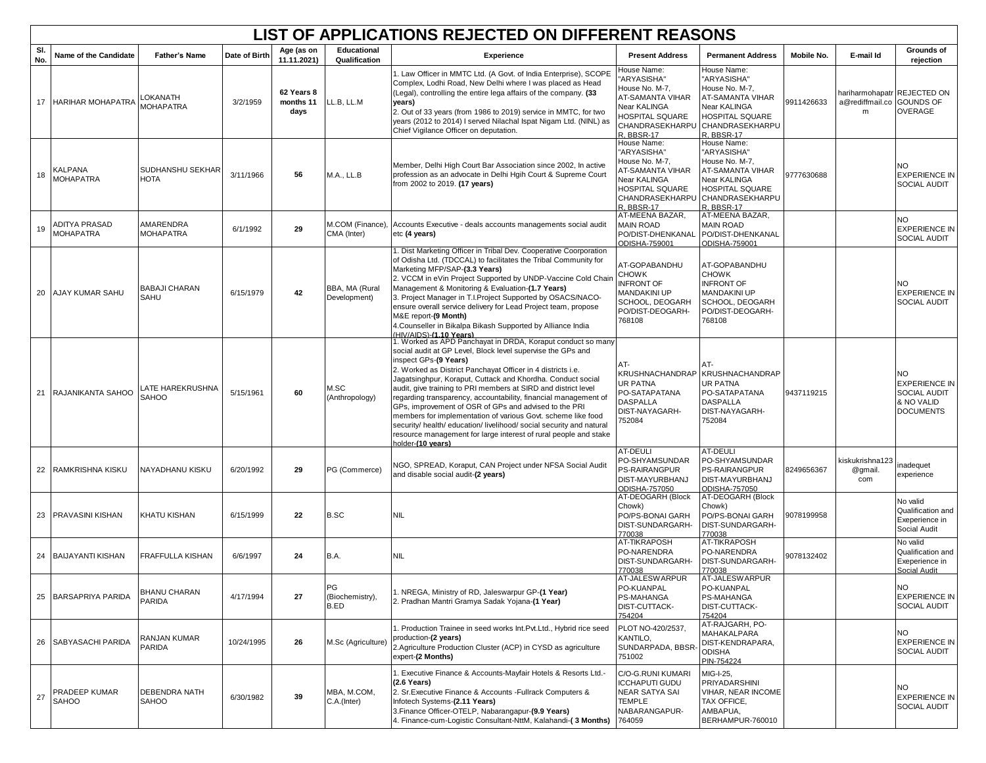|            | LIST OF APPLICATIONS REJECTED ON DIFFERENT REASONS |                                  |               |                                 |                                     |                                                                                                                                                                                                                                                                                                                                                                                                                                                                                                                                                                                                                                                                                                                  |                                                                                                                                      |                                                                                                                                                    |            |                                                               |                                                                                      |  |
|------------|----------------------------------------------------|----------------------------------|---------------|---------------------------------|-------------------------------------|------------------------------------------------------------------------------------------------------------------------------------------------------------------------------------------------------------------------------------------------------------------------------------------------------------------------------------------------------------------------------------------------------------------------------------------------------------------------------------------------------------------------------------------------------------------------------------------------------------------------------------------------------------------------------------------------------------------|--------------------------------------------------------------------------------------------------------------------------------------|----------------------------------------------------------------------------------------------------------------------------------------------------|------------|---------------------------------------------------------------|--------------------------------------------------------------------------------------|--|
| SI.<br>No. | Name of the Candidate                              | <b>Father's Name</b>             | Date of Birth | Age (as on<br>11.11.2021)       | <b>Educational</b><br>Qualification | Experience                                                                                                                                                                                                                                                                                                                                                                                                                                                                                                                                                                                                                                                                                                       | <b>Present Address</b>                                                                                                               | <b>Permanent Address</b>                                                                                                                           | Mobile No. | E-mail Id                                                     | Grounds of<br>rejection                                                              |  |
|            | 17 HARIHAR MOHAPATRA                               | LOKANATH<br><b>MOHAPATRA</b>     | 3/2/1959      | 62 Years 8<br>months 11<br>days | LL.B, LL.M                          | 1. Law Officer in MMTC Ltd. (A Govt. of India Enterprise), SCOPE<br>Complex, Lodhi Road, New Delhi where I was placed as Head<br>(Legal), controlling the entire lega affairs of the company. (33<br>years)<br>2. Out of 33 years (from 1986 to 2019) service in MMTC, for two<br>years (2012 to 2014) I served Nilachal Ispat Nigam Ltd. (NINL) as<br>Chief Vigilance Officer on deputation.                                                                                                                                                                                                                                                                                                                    | House Name:<br>'ARYASISHA"<br>House No. M-7,<br>AT-SAMANTA VIHAR<br>Near KALINGA<br>HOSPITAL SQUARE<br>CHANDRASEKHARPU<br>R. BBSR-17 | House Name:<br>"ARYASISHA"<br>House No. M-7,<br><b>AT-SAMANTA VIHAR</b><br>Near KALINGA<br><b>HOSPITAL SQUARE</b><br>CHANDRASEKHARPU<br>R. BBSR-17 | 9911426633 | hariharmohapatr REJECTED ON<br>a@rediffmail.co GOUNDS OF<br>m | <b>OVERAGE</b>                                                                       |  |
| 18         | KALPANA<br><b>MOHAPATRA</b>                        | SUDHANSHU SEKHAR<br><b>HOTA</b>  | 3/11/1966     | 56                              | <b>M.A., LL.B</b>                   | Member, Delhi High Court Bar Association since 2002, In active<br>profession as an advocate in Delhi Hgih Court & Supreme Court<br>from 2002 to 2019. (17 years)                                                                                                                                                                                                                                                                                                                                                                                                                                                                                                                                                 | House Name:<br>"ARYASISHA"<br>House No. M-7.<br>AT-SAMANTA VIHAR<br>Near KALINGA<br>HOSPITAL SQUARE<br>CHANDRASEKHARPU<br>R. BBSR-17 | House Name:<br>"ARYASISHA"<br>House No. M-7.<br><b>AT-SAMANTA VIHAR</b><br>Near KALINGA<br><b>HOSPITAL SQUARE</b><br>CHANDRASEKHARPU<br>R. BBSR-17 | 9777630688 |                                                               | NO<br><b>EXPERIENCE IN</b><br><b>SOCIAL AUDIT</b>                                    |  |
| 19         | ADITYA PRASAD<br><b>MOHAPATRA</b>                  | AMARENDRA<br><b>MOHAPATRA</b>    | 6/1/1992      | 29                              | CMA (Inter)                         | M.COM (Finance), Accounts Executive - deals accounts managements social audit<br>etc (4 years)                                                                                                                                                                                                                                                                                                                                                                                                                                                                                                                                                                                                                   | AT-MEENA BAZAR,<br><b>MAIN ROAD</b><br>PO/DIST-DHENKANAL<br>ODISHA-759001                                                            | AT-MEENA BAZAR,<br><b>MAIN ROAD</b><br>PO/DIST-DHENKANAL<br>ODISHA-759001                                                                          |            |                                                               | NO.<br><b>EXPERIENCE IN</b><br><b>SOCIAL AUDIT</b>                                   |  |
| 20         | AJAY KUMAR SAHU                                    | <b>BABAJI CHARAN</b><br>SAHU     | 6/15/1979     | 42                              | BBA, MA (Rural<br>Development)      | 1. Dist Marketing Officer in Tribal Dev. Cooperative Coorporation<br>of Odisha Ltd. (TDCCAL) to facilitates the Tribal Community for<br>Marketing MFP/SAP-(3.3 Years)<br>2. VCCM in eVin Project Supported by UNDP-Vaccine Cold Chain<br>Management & Monitoring & Evaluation-(1.7 Years)<br>3. Project Manager in T.I.Project Supported by OSACS/NACO-<br>ensure overall service delivery for Lead Project team, propose<br>M&E report-(9 Month)<br>4. Counseller in Bikalpa Bikash Supported by Alliance India<br>(HIV/AIDS)-(1.10 Years)                                                                                                                                                                      | AT-GOPABANDHU<br>CHOWK<br><b>INFRONT OF</b><br><b>MANDAKINI UP</b><br>SCHOOL, DEOGARH<br>PO/DIST-DEOGARH-<br>768108                  | AT-GOPABANDHU<br><b>CHOWK</b><br><b>INFRONT OF</b><br><b>MANDAKINI UP</b><br>SCHOOL, DEOGARH<br>PO/DIST-DEOGARH-<br>768108                         |            |                                                               | NO.<br><b>EXPERIENCE IN</b><br><b>SOCIAL AUDIT</b>                                   |  |
|            | 21 RAJANIKANTA SAHOO                               | LATE HAREKRUSHNA<br><b>SAHOO</b> | 5/15/1961     | 60                              | M.SC<br>(Anthropology)              | 1. Worked as APD Panchayat in DRDA, Koraput conduct so many<br>social audit at GP Level, Block level supervise the GPs and<br>inspect GPs-(9 Years)<br>2. Worked as District Panchayat Officer in 4 districts i.e.<br>Jagatsinghpur, Koraput, Cuttack and Khordha. Conduct social<br>audit, give training to PRI members at SIRD and district level<br>regarding transparency, accountability, financial management of<br>GPs, improvement of OSR of GPs and advised to the PRI<br>members for implementation of various Govt. scheme like food<br>security/ health/ education/ livelihood/ social security and natural<br>resource management for large interest of rural people and stake<br>holder-(10 vears) | AT-<br>UR PATNA<br>PO-SATAPATANA<br><b>DASPALLA</b><br>DIST-NAYAGARH-<br>752084                                                      | AT-<br>KRUSHNACHANDRAP KRUSHNACHANDRAP<br><b>UR PATNA</b><br>PO-SATAPATANA<br><b>DASPALLA</b><br>DIST-NAYAGARH-<br>752084                          | 9437119215 |                                                               | NO.<br><b>EXPERIENCE IN</b><br><b>SOCIAL AUDIT</b><br>& NO VALID<br><b>DOCUMENTS</b> |  |
| 22         | RAMKRISHNA KISKU                                   | NAYADHANU KISKU                  | 6/20/1992     | 29                              | PG (Commerce)                       | NGO, SPREAD, Koraput, CAN Project under NFSA Social Audit<br>and disable social audit-(2 years)                                                                                                                                                                                                                                                                                                                                                                                                                                                                                                                                                                                                                  | AT-DEULI<br>PO-SHYAMSUNDAR<br>PS-RAIRANGPUR<br>DIST-MAYURBHANJ<br>ODISHA-757050                                                      | AT-DEULI<br>PO-SHYAMSUNDAR<br><b>PS-RAIRANGPUR</b><br><b>DIST-MAYURBHANJ</b><br><b>ODISHA-757050</b>                                               | 8249656367 | kiskukrishna123<br>@gmail.<br>com                             | inadequet<br>experience                                                              |  |
| 23         | PRAVASINI KISHAN                                   | KHATU KISHAN                     | 6/15/1999     | 22                              | B.SC                                | <b>NIL</b>                                                                                                                                                                                                                                                                                                                                                                                                                                                                                                                                                                                                                                                                                                       | AT-DEOGARH (Block<br>Chowk)<br>PO/PS-BONAI GARH<br>DIST-SUNDARGARH-<br>770038                                                        | AT-DEOGARH (Block<br>Chowk)<br>PO/PS-BONAI GARH<br>DIST-SUNDARGARH-<br>770038                                                                      | 9078199958 |                                                               | No valid<br>Qualification and<br>Exeperience in<br>Social Audit                      |  |
|            | 24 BAIJAYANTI KISHAN                               | <b>FRAFFULLA KISHAN</b>          | 6/6/1997      | 24                              | B.A.                                | <b>NIL</b>                                                                                                                                                                                                                                                                                                                                                                                                                                                                                                                                                                                                                                                                                                       | AT-TIKRAPOSH<br>PO-NARENDRA<br>DIST-SUNDARGARH-<br>770038                                                                            | <b>AT-TIKRAPOSH</b><br>PO-NARENDRA<br>DIST-SUNDARGARH-<br>770038                                                                                   | 9078132402 |                                                               | No valid<br>Qualification and<br>Exeperience in<br>Social Audit                      |  |
| 25         | BARSAPRIYA PARIDA                                  | <b>BHANU CHARAN</b><br>PARIDA    | 4/17/1994     | 27                              | G<br>(Biochemistry),<br>B.ED        | 1. NREGA, Ministry of RD, Jaleswarpur GP-(1 Year)<br>2. Pradhan Mantri Gramya Sadak Yojana-(1 Year)                                                                                                                                                                                                                                                                                                                                                                                                                                                                                                                                                                                                              | AT-JALESWARPUR<br>PO-KUANPAL<br>PS-MAHANGA<br>DIST-CUTTACK-<br>754204                                                                | AT-JALESWARPUR<br>O-KUANPAL<br><b>PS-MAHANGA</b><br>DIST-CUTTACK-<br>754204                                                                        |            |                                                               | <b>EXPERIENCE IN</b><br><b>SOCIAL AUDIT</b>                                          |  |
| 26         | SABYASACHI PARIDA                                  | RANJAN KUMAR<br>PARIDA           | 10/24/1995    | 26                              | M.Sc (Agriculture)                  | . Production Trainee in seed works Int.Pvt.Ltd., Hybrid rice seed<br>production-(2 years)<br>2.Agriculture Production Cluster (ACP) in CYSD as agriculture<br>expert-(2 Months)                                                                                                                                                                                                                                                                                                                                                                                                                                                                                                                                  | PLOT NO-420/2537,<br>KANTILO,<br>SUNDARPADA, BBSR<br>751002                                                                          | AT-RAJGARH, PO-<br>MAHAKALPARA<br>DIST-KENDRAPARA,<br><b>ODISHA</b><br>PIN-754224                                                                  |            |                                                               | <b>NO</b><br><b>EXPERIENCE IN</b><br>SOCIAL AUDIT                                    |  |
| 27         | PRADEEP KUMAR<br>SAHOO                             | DEBENDRA NATH<br>SAHOO           | 6/30/1982     | 39                              | MBA, M.COM,<br>C.A.(Inter)          | . Executive Finance & Accounts-Mayfair Hotels & Resorts Ltd.-<br>$(2.6$ Years)<br>2. Sr. Executive Finance & Accounts - Fullrack Computers &<br>Infotech Systems-(2.11 Years)<br>3. Finance Officer-OTELP, Nabarangapur-(9.9 Years)<br>4. Finance-cum-Logistic Consultant-NttM, Kalahandi-(3 Months)                                                                                                                                                                                                                                                                                                                                                                                                             | C/O-G.RUNI KUMARI<br><b>ICCHAPUTI GUDU</b><br><b>NEAR SATYA SAI</b><br>TEMPLE<br>NABARANGAPUR-<br>764059                             | MIG-I-25,<br>PRIYADARSHINI<br>VIHAR, NEAR INCOME<br><b>TAX OFFICE,</b><br>AMBAPUA.<br>BERHAMPUR-760010                                             |            |                                                               | <b>NO</b><br><b>EXPERIENCE IN</b><br>SOCIAL AUDIT                                    |  |